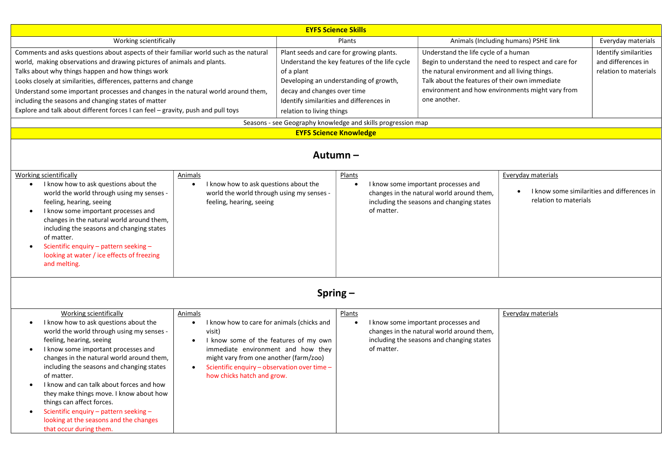| <b>EYFS Science Skills</b>                                                                                                                                                                                                                                                                                                                                                                                                                                                                                                                                  |                                                                                                                                                                                                                                                                                                               |                                                                                                                                                                                                                                                                                                                                                            |                                                                                                                                                       |                                                                                                                                                                                                                                                                      |                                                                                            |                                                                      |  |  |  |
|-------------------------------------------------------------------------------------------------------------------------------------------------------------------------------------------------------------------------------------------------------------------------------------------------------------------------------------------------------------------------------------------------------------------------------------------------------------------------------------------------------------------------------------------------------------|---------------------------------------------------------------------------------------------------------------------------------------------------------------------------------------------------------------------------------------------------------------------------------------------------------------|------------------------------------------------------------------------------------------------------------------------------------------------------------------------------------------------------------------------------------------------------------------------------------------------------------------------------------------------------------|-------------------------------------------------------------------------------------------------------------------------------------------------------|----------------------------------------------------------------------------------------------------------------------------------------------------------------------------------------------------------------------------------------------------------------------|--------------------------------------------------------------------------------------------|----------------------------------------------------------------------|--|--|--|
| Working scientifically                                                                                                                                                                                                                                                                                                                                                                                                                                                                                                                                      |                                                                                                                                                                                                                                                                                                               | Plants                                                                                                                                                                                                                                                                                                                                                     |                                                                                                                                                       | Animals (Including humans) PSHE link                                                                                                                                                                                                                                 |                                                                                            | Everyday materials                                                   |  |  |  |
| Comments and asks questions about aspects of their familiar world such as the natural<br>world, making observations and drawing pictures of animals and plants.<br>Talks about why things happen and how things work<br>Looks closely at similarities, differences, patterns and change<br>Understand some important processes and changes in the natural world around them,<br>including the seasons and changing states of matter<br>Explore and talk about different forces I can feel - gravity, push and pull toys                                     |                                                                                                                                                                                                                                                                                                               | Plant seeds and care for growing plants.<br>Understand the key features of the life cycle<br>of a plant<br>Developing an understanding of growth,<br>decay and changes over time<br>Identify similarities and differences in<br>relation to living things<br>Seasons - see Geography knowledge and skills progression map<br><b>EYFS Science Knowledge</b> |                                                                                                                                                       | Understand the life cycle of a human<br>Begin to understand the need to respect and care for<br>the natural environment and all living things.<br>Talk about the features of their own immediate<br>environment and how environments might vary from<br>one another. |                                                                                            | Identify similarities<br>and differences in<br>relation to materials |  |  |  |
| Autumn-                                                                                                                                                                                                                                                                                                                                                                                                                                                                                                                                                     |                                                                                                                                                                                                                                                                                                               |                                                                                                                                                                                                                                                                                                                                                            |                                                                                                                                                       |                                                                                                                                                                                                                                                                      |                                                                                            |                                                                      |  |  |  |
| Working scientifically<br>I know how to ask questions about the<br>$\bullet$<br>world the world through using my senses -<br>feeling, hearing, seeing<br>I know some important processes and<br>changes in the natural world around them,<br>including the seasons and changing states<br>of matter.<br>Scientific enquiry - pattern seeking -<br>looking at water / ice effects of freezing<br>and melting.                                                                                                                                                | Animals<br>I know how to ask questions about the<br>$\bullet$<br>world the world through using my senses -<br>feeling, hearing, seeing                                                                                                                                                                        |                                                                                                                                                                                                                                                                                                                                                            | Plants<br>I know some important processes and<br>changes in the natural world around them,<br>including the seasons and changing states<br>of matter. |                                                                                                                                                                                                                                                                      | Everyday materials<br>I know some similarities and differences in<br>relation to materials |                                                                      |  |  |  |
| Spring $-$                                                                                                                                                                                                                                                                                                                                                                                                                                                                                                                                                  |                                                                                                                                                                                                                                                                                                               |                                                                                                                                                                                                                                                                                                                                                            |                                                                                                                                                       |                                                                                                                                                                                                                                                                      |                                                                                            |                                                                      |  |  |  |
| <b>Working scientifically</b><br>I know how to ask questions about the<br>$\bullet$<br>world the world through using my senses -<br>feeling, hearing, seeing<br>I know some important processes and<br>$\bullet$<br>changes in the natural world around them,<br>including the seasons and changing states<br>of matter.<br>I know and can talk about forces and how<br>they make things move. I know about how<br>things can affect forces.<br>Scientific enquiry - pattern seeking -<br>looking at the seasons and the changes<br>that occur during them. | Animals<br>I know how to care for animals (chicks and<br>$\bullet$<br>visit)<br>I know some of the features of my own<br>$\bullet$<br>immediate environment and how they<br>might vary from one another (farm/zoo)<br>Scientific enquiry - observation over time -<br>$\bullet$<br>how chicks hatch and grow. |                                                                                                                                                                                                                                                                                                                                                            | Plants<br>of matter.                                                                                                                                  | I know some important processes and<br>changes in the natural world around them,<br>including the seasons and changing states                                                                                                                                        | Everyday materials                                                                         |                                                                      |  |  |  |